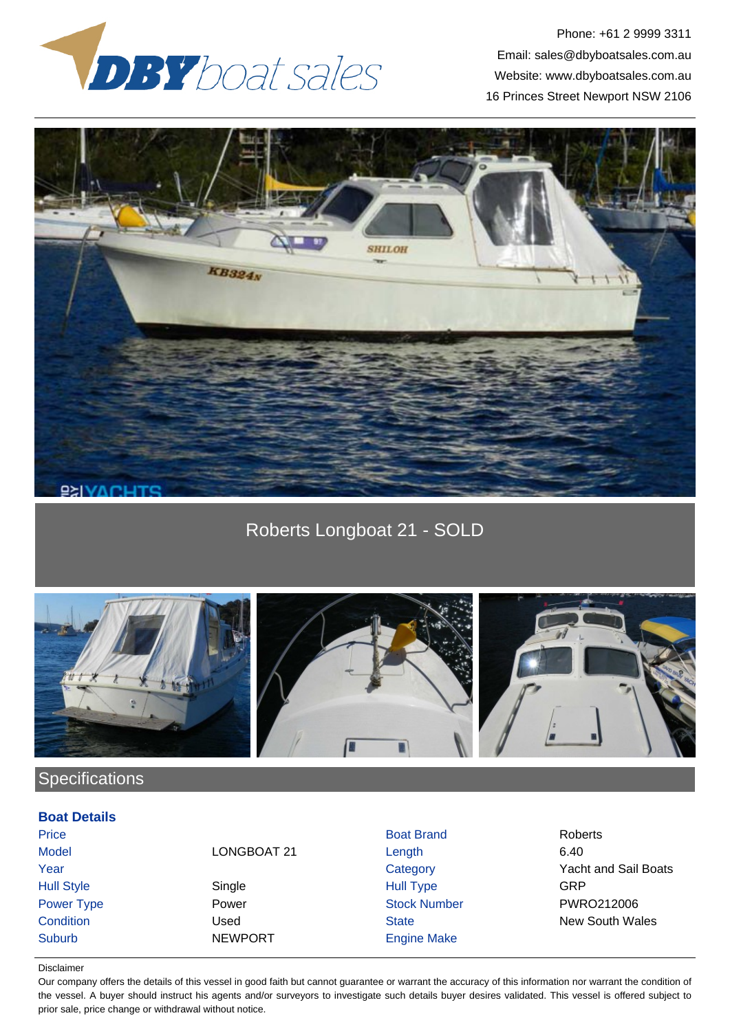

Phone: +61 2 9999 3311 Email: sales@dbyboatsales.com.au Website: www.dbyboatsales.com.au 16 Princes Street Newport NSW 2106



Roberts Longboat 21 - SOLD



## **Specifications**

## **Boat Details**

Hull Style Single Hull Type GRP Power Type **Power Power COVID-ROM** Power Stock Number PWRO212006

Price **Boat Brand Roberts** Roberts and Brand Roberts and Roberts Roberts and Roberts and Roberts and Roberts and Roberts and Roberts and Roberts and Roberts and Roberts and Roberts and Roberts and Roberts and Roberts and R Model **LONGBOAT 21** Length 6.40 Suburb NEWPORT Engine Make

Year Category Yacht and Sail Boats **Condition** Condition Used Used State State New South Wales

## Disclaimer

Our company offers the details of this vessel in good faith but cannot guarantee or warrant the accuracy of this information nor warrant the condition of the vessel. A buyer should instruct his agents and/or surveyors to investigate such details buyer desires validated. This vessel is offered subject to prior sale, price change or withdrawal without notice.